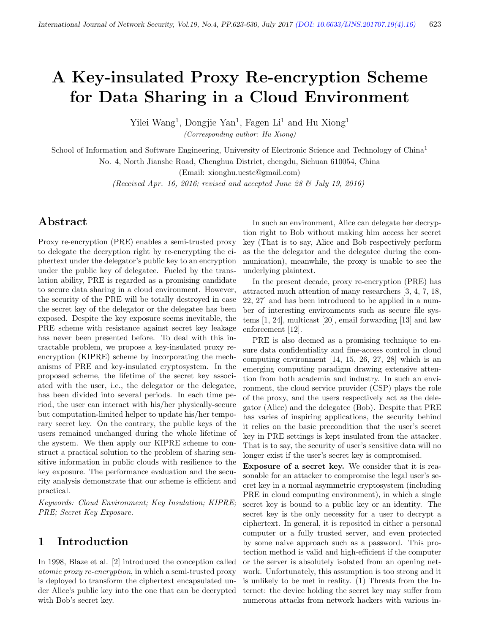# A Key-insulated Proxy Re-encryption Scheme for Data Sharing in a Cloud Environment

Yilei Wang<sup>1</sup>, Dongjie Yan<sup>1</sup>, Fagen Li<sup>1</sup> and Hu Xiong<sup>1</sup>

(Corresponding author: Hu Xiong)

School of Information and Software Engineering, University of Electronic Science and Technology of China<sup>1</sup> No. 4, North Jianshe Road, Chenghua District, chengdu, Sichuan 610054, China

(Email: xionghu.uestc@gmail.com)

(Received Apr. 16, 2016; revised and accepted June 28  $\mathcal{B}$  July 19, 2016)

# Abstract

Proxy re-encryption (PRE) enables a semi-trusted proxy to delegate the decryption right by re-encrypting the ciphertext under the delegator's public key to an encryption under the public key of delegatee. Fueled by the translation ability, PRE is regarded as a promising candidate to secure data sharing in a cloud environment. However, the security of the PRE will be totally destroyed in case the secret key of the delegator or the delegatee has been exposed. Despite the key exposure seems inevitable, the PRE scheme with resistance against secret key leakage has never been presented before. To deal with this intractable problem, we propose a key-insulated proxy reencryption (KIPRE) scheme by incorporating the mechanisms of PRE and key-insulated cryptosystem. In the proposed scheme, the lifetime of the secret key associated with the user, i.e., the delegator or the delegatee, has been divided into several periods. In each time period, the user can interact with his/her physically-secure but computation-limited helper to update his/her temporary secret key. On the contrary, the public keys of the users remained unchanged during the whole lifetime of the system. We then apply our KIPRE scheme to construct a practical solution to the problem of sharing sensitive information in public clouds with resilience to the key exposure. The performance evaluation and the security analysis demonstrate that our scheme is efficient and practical.

Keywords: Cloud Environment; Key Insulation; KIPRE; PRE; Secret Key Exposure.

## 1 Introduction

In 1998, Blaze et al. [2] introduced the conception called atomic proxy re-encryption, in which a semi-trusted proxy is deployed to transform the ciphertext encapsulated under Alice's public key into the one that can be decrypted with Bob's secret key.

In such an environment, Alice can delegate her decryption right to Bob without making him access her secret key (That is to say, Alice and Bob respectively perform as the the delegator and the delegatee during the communication), meanwhile, the proxy is unable to see the underlying plaintext.

In the present decade, proxy re-encryption (PRE) has attracted much attention of many researchers [3, 4, 7, 18, 22, 27] and has been introduced to be applied in a number of interesting environments such as secure file systems [1, 24], multicast [20], email forwarding [13] and law enforcement [12].

PRE is also deemed as a promising technique to ensure data confidentiality and fine-access control in cloud computing environment [14, 15, 26, 27, 28] which is an emerging computing paradigm drawing extensive attention from both academia and industry. In such an environment, the cloud service provider (CSP) plays the role of the proxy, and the users respectively act as the delegator (Alice) and the delegatee (Bob). Despite that PRE has varies of inspiring applications, the security behind it relies on the basic precondition that the user's secret key in PRE settings is kept insulated from the attacker. That is to say, the security of user's sensitive data will no longer exist if the user's secret key is compromised.

Exposure of a secret key. We consider that it is reasonable for an attacker to compromise the legal user's secret key in a normal asymmetric cryptosystem (including PRE in cloud computing environment), in which a single secret key is bound to a public key or an identity. The secret key is the only necessity for a user to decrypt a ciphertext. In general, it is reposited in either a personal computer or a fully trusted server, and even protected by some naive approach such as a password. This protection method is valid and high-efficient if the computer or the server is absolutely isolated from an opening network. Unfortunately, this assumption is too strong and it is unlikely to be met in reality. (1) Threats from the Internet: the device holding the secret key may suffer from numerous attacks from network hackers with various in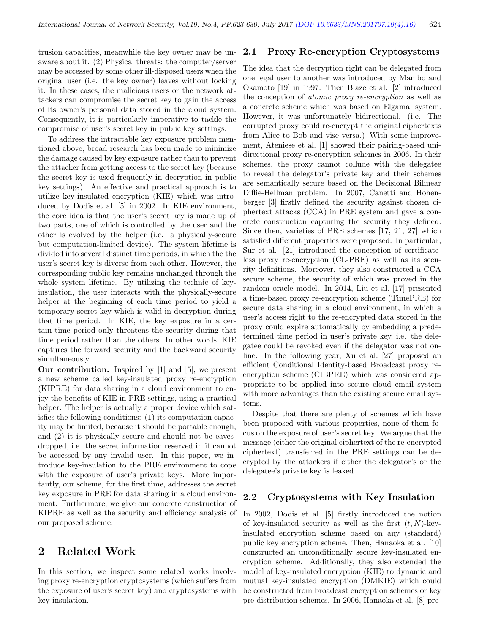trusion capacities, meanwhile the key owner may be unaware about it. (2) Physical threats: the computer/server may be accessed by some other ill-disposed users when the original user (i.e. the key owner) leaves without locking it. In these cases, the malicious users or the network attackers can compromise the secret key to gain the access of its owner's personal data stored in the cloud system. Consequently, it is particularly imperative to tackle the compromise of user's secret key in public key settings.

To address the intractable key exposure problem mentioned above, broad research has been made to minimize the damage caused by key exposure rather than to prevent the attacker from getting access to the secret key (because the secret key is used frequently in decryption in public key settings). An effective and practical approach is to utilize key-insulated encryption (KIE) which was introduced by Dodis et al. [5] in 2002. In KIE environment, the core idea is that the user's secret key is made up of two parts, one of which is controlled by the user and the other is evolved by the helper (i.e. a physically-secure but computation-limited device). The system lifetime is divided into several distinct time periods, in which the the user's secret key is diverse from each other. However, the corresponding public key remains unchanged through the whole system lifetime. By utilizing the technic of keyinsulation, the user interacts with the physically-secure helper at the beginning of each time period to yield a temporary secret key which is valid in decryption during that time period. In KIE, the key exposure in a certain time period only threatens the security during that time period rather than the others. In other words, KIE captures the forward security and the backward security simultaneously.

Our contribution. Inspired by [1] and [5], we present a new scheme called key-insulated proxy re-encryption (KIPRE) for data sharing in a cloud environment to enjoy the benefits of KIE in PRE settings, using a practical helper. The helper is actually a proper device which satisfies the following conditions: (1) its computation capacity may be limited, because it should be portable enough; and (2) it is physically secure and should not be eavesdropped, i.e. the secret information reserved in it cannot be accessed by any invalid user. In this paper, we introduce key-insulation to the PRE environment to cope with the exposure of user's private keys. More importantly, our scheme, for the first time, addresses the secret key exposure in PRE for data sharing in a cloud environment. Furthermore, we give our concrete construction of KIPRE as well as the security and efficiency analysis of our proposed scheme.

# 2 Related Work

In this section, we inspect some related works involving proxy re-encryption cryptosystems (which suffers from the exposure of user's secret key) and cryptosystems with key insulation.

#### 2.1 Proxy Re-encryption Cryptosystems

The idea that the decryption right can be delegated from one legal user to another was introduced by Mambo and Okamoto [19] in 1997. Then Blaze et al. [2] introduced the conception of atomic proxy re-encryption as well as a concrete scheme which was based on Elgamal system. However, it was unfortunately bidirectional. (i.e. The corrupted proxy could re-encrypt the original ciphertexts from Alice to Bob and vise versa.) With some improvement, Ateniese et al. [1] showed their pairing-based unidirectional proxy re-encryption schemes in 2006. In their schemes, the proxy cannot collude with the delegatee to reveal the delegator's private key and their schemes are semantically secure based on the Decisional Bilinear Diffie-Hellman problem. In 2007, Canetti and Hohenberger [3] firstly defined the security against chosen ciphertext attacks (CCA) in PRE system and gave a concrete construction capturing the security they defined. Since then, varieties of PRE schemes [17, 21, 27] which satisfied different properties were proposed. In particular, Sur et al. [21] introduced the conception of certificateless proxy re-encryption (CL-PRE) as well as its security definitions. Moreover, they also constructed a CCA secure scheme, the security of which was proved in the random oracle model. In 2014, Liu et al. [17] presented a time-based proxy re-encryption scheme (TimePRE) for secure data sharing in a cloud environment, in which a user's access right to the re-encrypted data stored in the proxy could expire automatically by embedding a predetermined time period in user's private key, i.e. the delegatee could be revoked even if the delegator was not online. In the following year, Xu et al. [27] proposed an efficient Conditional Identity-based Broadcast proxy reencryption scheme (CIBPRE) which was considered appropriate to be applied into secure cloud email system with more advantages than the existing secure email systems.

Despite that there are plenty of schemes which have been proposed with various properties, none of them focus on the exposure of user's secret key. We argue that the message (either the original ciphertext of the re-encrypted ciphertext) transferred in the PRE settings can be decrypted by the attackers if either the delegator's or the delegatee's private key is leaked.

## 2.2 Cryptosystems with Key Insulation

In 2002, Dodis et al. [5] firstly introduced the notion of key-insulated security as well as the first  $(t, N)$ -keyinsulated encryption scheme based on any (standard) public key encryption scheme. Then, Hanaoka et al. [10] constructed an unconditionally secure key-insulated encryption scheme. Additionally, they also extended the model of key-insulated encryption (KIE) to dynamic and mutual key-insulated encryption (DMKIE) which could be constructed from broadcast encryption schemes or key pre-distribution schemes. In 2006, Hanaoka et al. [8] pre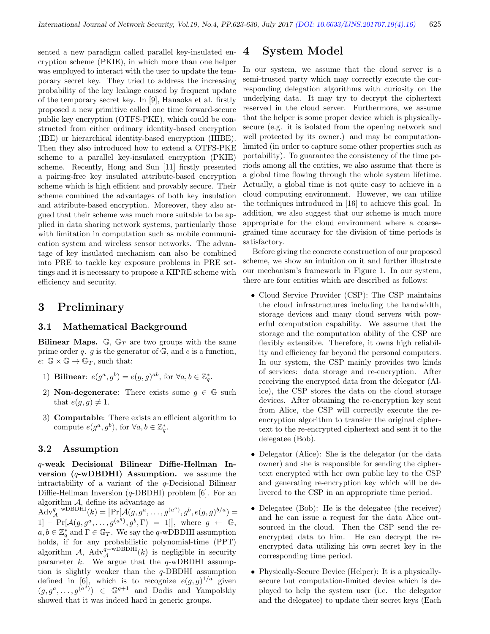sented a new paradigm called parallel key-insulated encryption scheme (PKIE), in which more than one helper was employed to interact with the user to update the temporary secret key. They tried to address the increasing probability of the key leakage caused by frequent update of the temporary secret key. In [9], Hanaoka et al. firstly proposed a new primitive called one time forward-secure public key encryption (OTFS-PKE), which could be constructed from either ordinary identity-based encryption (IBE) or hierarchical identity-based encryption (HIBE). Then they also introduced how to extend a OTFS-PKE scheme to a parallel key-insulated encryption (PKIE) scheme. Recently, Hong and Sun [11] firstly presented a pairing-free key insulated attribute-based encryption scheme which is high efficient and provably secure. Their scheme combined the advantages of both key insulation and attribute-based encryption. Moreover, they also argued that their scheme was much more suitable to be applied in data sharing network systems, particularly those with limitation in computation such as mobile communication system and wireless sensor networks. The advantage of key insulated mechanism can also be combined into PRE to tackle key exposure problems in PRE settings and it is necessary to propose a KIPRE scheme with efficiency and security.

## 3 Preliminary

#### 3.1 Mathematical Background

Bilinear Maps.  $\mathbb{G}$ ,  $\mathbb{G}_T$  are two groups with the same prime order  $q$ .  $g$  is the generator of  $\mathbb{G}$ , and  $e$  is a function,  $e: \mathbb{G} \times \mathbb{G} \to \mathbb{G}_T$ , such that:

- 1) Bilinear:  $e(g^a, g^b) = e(g, g)^{ab}$ , for  $\forall a, b \in \mathbb{Z}_q^*$ .
- 2) **Non-degenerate**: There exists some  $g \in \mathbb{G}$  such that  $e(g, g) \neq 1$ .
- 3) Computable: There exists an efficient algorithm to compute  $e(g^a, g^b)$ , for  $\forall a, b \in \mathbb{Z}_q^*$ .

#### 3.2 Assumption

q-weak Decisional Bilinear Diffie-Hellman Inversion  $(q$ -wDBDHI) Assumption. we assume the intractability of a variant of the q-Decisional Bilinear Diffie-Hellman Inversion (q-DBDHI) problem [6]. For an algorithm  $\mathcal{A},$  define its advantage as

 $\widetilde{\mathrm{Adv}}_{\mathcal{A}}^{q-\mathrm{wDBDHI}}(k) = \left| \Pr[\mathcal{A}(g, g^a, \dots, g^{(a^q)}, g^b, e(g, g)^{b/a}) \right|]$  $1] - \Pr[\mathcal{A}(g, g^a, \dots, g^{(a^q)}, g^b, \Gamma)] = 1]$ , where  $g \leftarrow \mathbb{G}$ ,  $a, b \in \mathbb{Z}_q^*$  and  $\Gamma \in \mathbb{G}_T$ . We say the q-wDBDHI assumption holds, if for any probabilistic polynomial-time (PPT) algorithm  $\mathcal{A}$ , Adv<sup>q-wDBDHI</sup>(k) is negligible in security parameter k. We argue that the  $q$ -wDBDHI assumption is slightly weaker than the  $q$ -DBDHI assumption defined in [6], which is to recognize  $e(g, g)^{1/a}$  given  $(g, g^a, \ldots, g^{(a^d)}) \in \mathbb{G}^{q+1}$  and Dodis and Yampolskiy showed that it was indeed hard in generic groups.

## 4 System Model

In our system, we assume that the cloud server is a semi-trusted party which may correctly execute the corresponding delegation algorithms with curiosity on the underlying data. It may try to decrypt the ciphertext reserved in the cloud server. Furthermore, we assume that the helper is some proper device which is physicallysecure (e.g. it is isolated from the opening network and well protected by its owner.) and may be computationlimited (in order to capture some other properties such as portability). To guarantee the consistency of the time periods among all the entities, we also assume that there is a global time flowing through the whole system lifetime. Actually, a global time is not quite easy to achieve in a cloud computing environment. However, we can utilize the techniques introduced in [16] to achieve this goal. In addition, we also suggest that our scheme is much more appropriate for the cloud environment where a coarsegrained time accuracy for the division of time periods is satisfactory.

Before giving the concrete construction of our proposed scheme, we show an intuition on it and further illustrate our mechanism's framework in Figure 1. In our system, there are four entities which are described as follows:

- Cloud Service Provider (CSP): The CSP maintains the cloud infrastructures including the bandwidth, storage devices and many cloud servers with powerful computation capability. We assume that the storage and the computation ability of the CSP are flexibly extensible. Therefore, it owns high reliability and efficiency far beyond the personal computers. In our system, the CSP mainly provides two kinds of services: data storage and re-encryption. After receiving the encrypted data from the delegator (Alice), the CSP stores the data on the cloud storage devices. After obtaining the re-encryption key sent from Alice, the CSP will correctly execute the reencryption algorithm to transfer the original ciphertext to the re-encrypted ciphertext and sent it to the delegatee (Bob).
- Delegator (Alice): She is the delegator (or the data owner) and she is responsible for sending the ciphertext encrypted with her own public key to the CSP and generating re-encryption key which will be delivered to the CSP in an appropriate time period.
- Delegatee (Bob): He is the delegatee (the receiver) and he can issue a request for the data Alice outsourced in the cloud. Then the CSP send the reencrypted data to him. He can decrypt the reencrypted data utilizing his own secret key in the corresponding time period.
- Physically-Secure Device (Helper): It is a physicallysecure but computation-limited device which is deployed to help the system user (i.e. the delegator and the delegatee) to update their secret keys (Each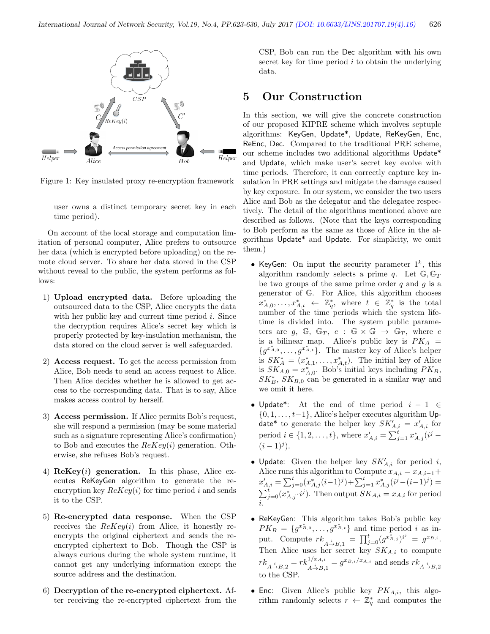

Figure 1: Key insulated proxy re-encryption framework

user owns a distinct temporary secret key in each time period).

On account of the local storage and computation limitation of personal computer, Alice prefers to outsource her data (which is encrypted before uploading) on the remote cloud server. To share her data stored in the CSP without reveal to the public, the system performs as follows:

- 1) Upload encrypted data. Before uploading the outsourced data to the CSP, Alice encrypts the data with her public key and current time period  $i$ . Since the decryption requires Alice's secret key which is properly protected by key-insulation mechanism, the data stored on the cloud server is well safeguarded.
- 2) Access request. To get the access permission from Alice, Bob needs to send an access request to Alice. Then Alice decides whether he is allowed to get access to the corresponding data. That is to say, Alice makes access control by herself.
- 3) Access permission. If Alice permits Bob's request, she will respond a permission (may be some material such as a signature representing Alice's confirmation) to Bob and executes the  $ReKey(i)$  generation. Otherwise, she refuses Bob's request.
- 4)  $\mathbf{ReKey}(i)$  generation. In this phase, Alice executes ReKeyGen algorithm to generate the reencryption key  $ReKey(i)$  for time period i and sends it to the CSP.
- 5) Re-encrypted data response. When the CSP receives the  $ReKey(i)$  from Alice, it honestly reencrypts the original ciphertext and sends the reencrypted ciphertext to Bob. Though the CSP is always curious during the whole system runtime, it cannot get any underlying information except the source address and the destination.
- 6) Decryption of the re-encrypted ciphertext. After receiving the re-encrypted ciphertext from the

CSP, Bob can run the Dec algorithm with his own secret key for time period  $i$  to obtain the underlying data.

## 5 Our Construction

In this section, we will give the concrete construction of our proposed KIPRE scheme which involves septuple algorithms: KeyGen, Update\*, Update, ReKeyGen, Enc, ReEnc, Dec. Compared to the traditional PRE scheme, our scheme includes two additional algorithms Update\* and Update, which make user's secret key evolve with time periods. Therefore, it can correctly capture key insulation in PRE settings and mitigate the damage caused by key exposure. In our system, we consider the two users Alice and Bob as the delegator and the delegatee respectively. The detail of the algorithms mentioned above are described as follows. (Note that the keys corresponding to Bob perform as the same as those of Alice in the algorithms Update\* and Update. For simplicity, we omit them.)

- KeyGen: On input the security parameter  $1^k$ , this algorithm randomly selects a prime q. Let  $\mathbb{G}, \mathbb{G}_T$ be two groups of the same prime order  $q$  and  $g$  is a generator of G. For Alice, this algorithm chooses  $x^*_{A,0},\ldots,x^*_{A,t} \leftarrow \mathbb{Z}_q^*$ , where  $t \in \mathbb{Z}_q^*$  is the total number of the time periods which the system lifetime is divided into. The system public parameters are  $g, \mathbb{G}, \mathbb{G}_T, e : \mathbb{G} \times \mathbb{G} \rightarrow \mathbb{G}_T$ , where e is a bilinear map. Alice's public key is  $PK_A$  =  ${g^{x_{A,0}^*, \ldots, g^{x_{A,t}^*}}}.$  The master key of Alice's helper is  $SK_A^* = (x_{A,1}^*, \ldots, x_{A,t}^*)$ . The initial key of Alice is  $SK_{A,0} = x_{A,0}^*$ . Bob's initial keys including  $PK_B$ ,  $SK<sub>B</sub><sup>*</sup>, SK<sub>B,0</sub>$  can be generated in a similar way and we omit it here.
- Update\*: At the end of time period  $i 1 \in$  $\{0, 1, \ldots, t-1\}$ , Alice's helper executes algorithm Update\* to generate the helper key  $SK'_{A,i} = x'_{A,i}$  for period  $i \in \{1, 2, ..., t\}$ , where  $x'_{A,i} = \sum_{j=1}^{t} x_{A,j}^{*}(i^{j} (i-1)^j$ ).
- Update: Given the helper key  $SK'_{A,i}$  for period i, Alice runs this algorithm to Compute  $x_{A,i} = x_{A,i-1} +$  $x^{\prime}_{A,i} = \sum_{j=0}^{t} (x^*_{A,j}(i-1)^j) + \sum_{j=1}^{t} x^*_{A,j}(i^j - (i-1)^j) =$  $\sum_{j=0}^t (x_{A,j}^*, i^j)$ . Then output  $SK_{A,i} = x_{A,i}$  for period i.
- ReKeyGen: This algorithm takes Bob's public key  $PK_B = \{g^{x_{B,0}^*}, \ldots, g^{x_{B,t}^*}\}\$ and time period i as input. Compute  $rk_{A \stackrel{i}{\to} B,1} = \prod_{j=0}^{t} (g^{x_{B,j}^*})^{i^j} = g^{x_{B,i}}.$ Then Alice uses her secret key  $SK_{A,i}$  to compute  $rk_{A \stackrel{i}{\rightarrow} B,2} = rk_{A \stackrel{i}{\rightarrow} B,1}^{1/x_{A,i}} = g^{x_{B,i}/x_{A,i}}$  and sends  $rk_{A \stackrel{i}{\rightarrow} B,2}$ to the CSP.
- Enc: Given Alice's public key  $PK_{A,i}$ , this algorithm randomly selects  $r \leftarrow \mathbb{Z}_q^*$  and computes the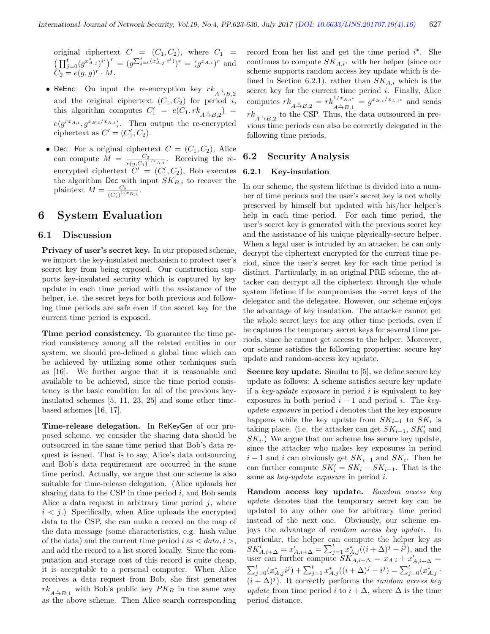original ciphertext  $C = (C_1, C_2)$ , where  $C_1 =$  $\left(\prod_{j=0}^t(g^{x^*_{A,j}})^{i^j}\right)^r = (g^{\sum_{j=0}^t(x^*_{A,j} \cdot i^j)})^r = (g^{x_{A,i}})^r$  and  $C_2 = e(g, g)^r \cdot M.$ 

- ReEnc: On input the re-encryption key  $rk_{A\stackrel{i}{\rightarrow}B,2}$ and the original ciphertext  $(C_1, C_2)$  for period i, this algorithm computes  $C'_1 = e(C_1, rk_{A \stackrel{i}{\rightarrow} B,2}) =$  $e(g^{r x_{A,i}}, g^{x_{B,i}/x_{A,i}})$ . Then output the re-encrypted ciphertext as  $C' = (C'_1, C_2)$ .
- Dec: For a original ciphertext  $C = (C_1, C_2)$ , Alice can compute  $M = \frac{C_2}{(C_1 + C_2)^{1/2}}$  $\frac{C_2}{e(g,C_1)^{1/x_{A,i}}}$ . Receiving the reencrypted ciphertext  $\tilde{C}' = (C'_1, C_2)$ , Bob executes the algorithm Dec with input  $SK_{B,i}$  to recover the plaintext  $M = \frac{C_2}{(C_1 + C_2)}$  $\frac{C_2}{(C'_1)^{1/x_{B,i}}}.$

## 6 System Evaluation

#### 6.1 Discussion

Privacy of user's secret key. In our proposed scheme, we import the key-insulated mechanism to protect user's secret key from being exposed. Our construction supports key-insulated security which is captured by key update in each time period with the assistance of the helper, i.e. the secret keys for both previous and following time periods are safe even if the secret key for the current time period is exposed.

Time period consistency. To guarantee the time period consistency among all the related entities in our system, we should pre-defined a global time which can be achieved by utilizing some other techniques such as [16]. We further argue that it is reasonable and available to be achieved, since the time period consistency is the basic condition for all of the previous keyinsulated schemes [5, 11, 23, 25] and some other timebased schemes [16, 17].

Time-release delegation. In ReKeyGen of our proposed scheme, we consider the sharing data should be outsourced in the same time period that Bob's data request is issued. That is to say, Alice's data outsourcing and Bob's data requirement are occurred in the same time period. Actually, we argue that our scheme is also suitable for time-release delegation. (Alice uploads her sharing data to the CSP in time period  $i$ , and Bob sends Alice a data request in arbitrary time period  $j$ , where  $i < j$ .) Specifically, when Alice uploads the encrypted data to the CSP, she can make a record on the map of the data message (some characteristics, e.g. hash value of the data) and the current time period i as  $\langle data, i \rangle$ , and add the record to a list stored locally. Since the computation and storage cost of this record is quite cheap, it is acceptable to a personal computer. When Alice receives a data request from Bob, she first generates  $rk_{A\rightarrow B,1}$  with Bob's public key  $PK_B$  in the same way as the above scheme. Then Alice search corresponding

record from her list and get the time period  $i^*$ . She continues to compute  $SK_{A,i^*}$  with her helper (since our scheme supports random access key update which is defined in Section 6.2.1), rather than  $SK_{A,i}$  which is the secret key for the current time period  $i$ . Finally, Alice computes  $rk_{A\stackrel{i}{\to}B,2} = rk_{A\stackrel{i}{\to}B,1}^{1/x_{A,i^*}} = g^{x_{B,i}/x_{A,i^*}}$  and sends  $rk_{A\stackrel{i}{\rightarrow}B,2}$  to the CSP. Thus, the data outsourced in previous time periods can also be correctly delegated in the following time periods.

#### 6.2 Security Analysis

#### 6.2.1 Key-insulation

In our scheme, the system lifetime is divided into a number of time periods and the user's secret key is not wholly preserved by himself but updated with his/her helper's help in each time period. For each time period, the user's secret key is generated with the previous secret key and the assistance of his unique physically-secure helper. When a legal user is intruded by an attacker, he can only decrypt the ciphertext encrypted for the current time period, since the user's secret key for each time period is distinct. Particularly, in an original PRE scheme, the attacker can decrypt all the ciphertext through the whole system lifetime if he compromises the secret keys of the delegator and the delegatee. However, our scheme enjoys the advantage of key insulation. The attacker cannot get the whole secret keys for any other time periods, even if he captures the temporary secret keys for several time periods, since he cannot get access to the helper. Moreover, our scheme satisfies the following properties: secure key update and random-access key update.

Secure key update. Similar to [5], we define secure key update as follows: A scheme satisfies secure key update if a key-update exposure in period  $i$  is equivalent to key exposures in both period  $i - 1$  and period i. The keyupdate exposure in period i denotes that the key exposure happens while the key update from  $SK_{i-1}$  to  $SK_i$  is taking place. (i.e. the attacker can get  $SK_{i-1}$ ,  $SK'_{i}$  and  $SK_i$ .) We argue that our scheme has secure key update, since the attacker who makes key exposures in period  $i-1$  and  $i$  can obviously get  $SK_{i-1}$  and  $SK_i$ . Then he can further compute  $SK_i' = SK_i - SK_{i-1}$ . That is the same as key-update exposure in period i.

Random access key update. Random access key update denotes that the temporary secret key can be updated to any other one for arbitrary time period instead of the next one. Obviously, our scheme enjoys the advantage of random access key update. In particular, the helper can compute the helper key as  $SK'_{A,i+\Delta} = x'_{A,i+\Delta} = \sum_{j=1}^{t} x^{*}_{A,j}((i+\Delta)^{j} - i^{j}),$  and the user can further compute  $SK_{A,i+\Delta} = x_{A,i} + x'_{A,i+\Delta} =$  $\sum_{j=0}^t (x_{A,j}^* i^j) + \sum_{j=1}^t x_{A,j}^* ((i + \Delta)^j - i^j) = \sum_{j=0}^t (x_{A,j}^* \cdot$  $(i + \Delta)^j$ ). It correctly performs the *random access key* update from time period i to  $i + \Delta$ , where  $\Delta$  is the time period distance.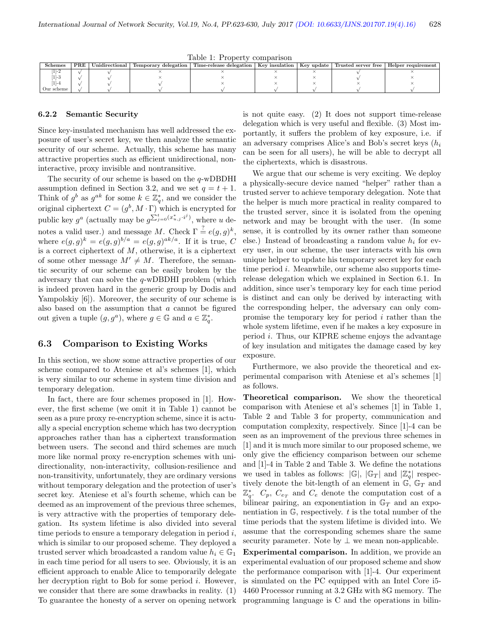Table 1: Property comparison

| ${\rm Schemes}$ | PRE | $\rm Unidirectional$ | Temporary delegation | Time-release delegation | Key insulation | Key update | Trusted server free | Helper requirement |
|-----------------|-----|----------------------|----------------------|-------------------------|----------------|------------|---------------------|--------------------|
|                 |     |                      |                      |                         |                |            |                     |                    |
| $-1$            |     |                      |                      |                         |                |            |                     |                    |
| $-4$            |     |                      |                      |                         |                |            |                     |                    |
| Our scheme.     |     |                      |                      |                         |                |            |                     |                    |

#### 6.2.2 Semantic Security

Since key-insulated mechanism has well addressed the exposure of user's secret key, we then analyze the semantic security of our scheme. Actually, this scheme has many attractive properties such as efficient unidirectional, noninteractive, proxy invisible and nontransitive.

The security of our scheme is based on the  $q$ -wDBDHI assumption defined in Section 3.2, and we set  $q = t + 1$ . Think of  $g^b$  as  $g^{ak}$  for some  $k \in \mathbb{Z}_q^*$ , and we consider the original ciphertext  $C = (g^b, M \cdot \Gamma)$  which is encrypted for public key  $g^a$  (actually may be  $g^{\sum_{j=0}^t (x_{u,j}^*, j^j)}$ , where u denotes a valid user.) and message M. Check  $\Gamma \stackrel{?}{=} e(g,g)^k$ , where  $e(g, g)^k = e(g, g)^{b/a} = e(g, g)^{ak/a}$ . If it is true, C is a correct ciphertext of  $M$ , otherwise, it is a ciphertext of some other message  $M' \neq M$ . Therefore, the semantic security of our scheme can be easily broken by the adversary that can solve the q-wDBDHI problem (which is indeed proven hard in the generic group by Dodis and Yampolskiy [6]). Moreover, the security of our scheme is also based on the assumption that  $a$  cannot be figured out given a tuple  $(g, g^a)$ , where  $g \in \mathbb{G}$  and  $a \in \mathbb{Z}_q^*$ .

#### 6.3 Comparison to Existing Works

In this section, we show some attractive properties of our scheme compared to Ateniese et al's schemes [1], which is very similar to our scheme in system time division and temporary delegation.

In fact, there are four schemes proposed in [1]. However, the first scheme (we omit it in Table 1) cannot be seen as a pure proxy re-encryption scheme, since it is actually a special encryption scheme which has two decryption approaches rather than has a ciphertext transformation between users. The second and third schemes are much more like normal proxy re-encryption schemes with unidirectionality, non-interactivity, collusion-resilience and non-transitivity, unfortunately, they are ordinary versions without temporary delegation and the protection of user's secret key. Ateniese et al's fourth scheme, which can be deemed as an improvement of the previous three schemes, is very attractive with the properties of temporary delegation. Its system lifetime is also divided into several time periods to ensure a temporary delegation in period  $i$ , which is similar to our proposed scheme. They deployed a trusted server which broadcasted a random value  $h_i \in \mathbb{G}_1$ in each time period for all users to see. Obviously, it is an efficient approach to enable Alice to temporarily delegate her decryption right to Bob for some period i. However, we consider that there are some drawbacks in reality. (1) To guarantee the honesty of a server on opening network is not quite easy. (2) It does not support time-release delegation which is very useful and flexible. (3) Most importantly, it suffers the problem of key exposure, i.e. if an adversary comprises Alice's and Bob's secret keys  $(h_i)$ can be seen for all users), he will be able to decrypt all the ciphertexts, which is disastrous.

We argue that our scheme is very exciting. We deploy a physically-secure device named "helper" rather than a trusted server to achieve temporary delegation. Note that the helper is much more practical in reality compared to the trusted server, since it is isolated from the opening network and may be brought with the user. (In some sense, it is controlled by its owner rather than someone else.) Instead of broadcasting a random value  $h_i$  for every user, in our scheme, the user interacts with his own unique helper to update his temporary secret key for each time period i. Meanwhile, our scheme also supports timerelease delegation which we explained in Section 6.1. In addition, since user's temporary key for each time period is distinct and can only be derived by interacting with the corresponding helper, the adversary can only compromise the temporary key for period  $i$  rather than the whole system lifetime, even if he makes a key exposure in period i. Thus, our KIPRE scheme enjoys the advantage of key insulation and mitigates the damage cased by key exposure.

Furthermore, we also provide the theoretical and experimental comparison with Ateniese et al's schemes [1] as follows.

Theoretical comparison. We show the theoretical comparison with Ateniese et al's schemes [1] in Table 1, Table 2 and Table 3 for property, communication and computation complexity, respectively. Since [1]-4 can be seen as an improvement of the previous three schemes in [1] and it is much more similar to our proposed scheme, we only give the efficiency comparison between our scheme and [1]-4 in Table 2 and Table 3. We define the notations we used in tables as follows:  $|\mathbb{G}|, |\mathbb{G}_T|$  and  $|\mathbb{Z}_q^*|$  respectively denote the bit-length of an element in  $\mathbb{G}$ ,  $\mathbb{G}_T$  and  $\mathbb{Z}_q^*$ .  $C_p$ ,  $C_{e_T}$  and  $C_e$  denote the computation cost of a bilinear pairing, an exponentiation in  $\mathbb{G}_T$  and an exponentiation in  $\mathbb{G}$ , respectively. t is the total number of the time periods that the system lifetime is divided into. We assume that the corresponding schemes share the same security parameter. Note by  $\perp$  we mean non-applicable.

Experimental comparison. In addition, we provide an experimental evaluation of our proposed scheme and show the performance comparison with [1]-4. Our experiment is simulated on the PC equipped with an Intel Core i5- 4460 Processor running at 3.2 GHz with 8G memory. The programming language is C and the operations in bilin-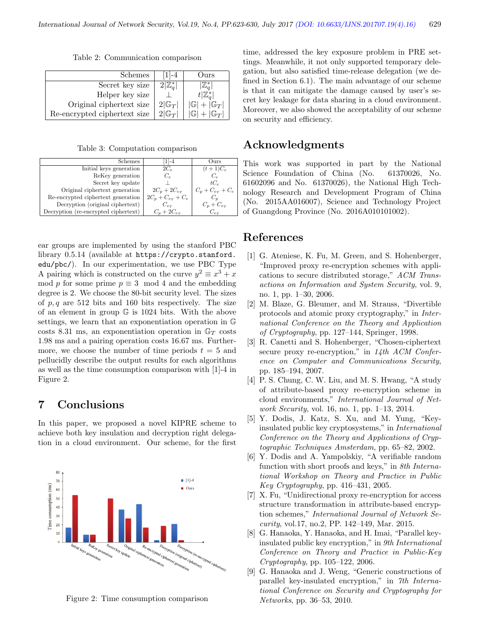Table 2: Communication comparison

| Schemes                      | $ -4$             | ')urs                         |
|------------------------------|-------------------|-------------------------------|
| Secret key size              |                   |                               |
| Helper key size              |                   |                               |
| Original ciphertext size     | $2 \mathbb{G}_T $ | $ \mathbb{G} + \mathbb{G}_T $ |
| Re-encrypted ciphertext size | $2 \mathbb{G}_T $ | $+ G_T $                      |

Table 3: Computation comparison

| <b>Schemes</b>                       | $1 - 4$                | Ours)                 |
|--------------------------------------|------------------------|-----------------------|
| Initial keys generation              | $2C_e$                 | $(t+1)C_e$            |
| ReKey generation                     | $C_{\epsilon}$         | $C_{\epsilon}$        |
| Secret key update                    |                        | $tC_{e}$              |
| Original ciphertext generation       | $2C_p + 2C_{e_T}$      | $C_p + C_{e_T} + C_e$ |
| Re-encrypted ciphertext generation   | $2C_p + C_{e_T} + C_e$ |                       |
| Decryption (original ciphertext)     | $C_{e\tau}$            | $C_p + C_{e_T}$       |
| Decryption (re-encrypted ciphertext) | $C_n + 2C_{e_T}$       | $C_{e\tau}$           |

ear groups are implemented by using the stanford PBC library 0.5.14 (available at https://crypto.stanford. edu/pbc/). In our experimentation, we use PBC Type A pairing which is constructed on the curve  $y^2 \equiv x^3 + x$ mod p for some prime  $p \equiv 3 \mod 4$  and the embedding degree is 2. We choose the 80-bit security level. The sizes of  $p, q$  are 512 bits and 160 bits respectively. The size of an element in group G is 1024 bits. With the above settings, we learn that an exponentiation operation in G costs 8.31 ms, an exponentiation operation in  $\mathbb{G}_T$  costs 1.98 ms and a pairing operation costs 16.67 ms. Furthermore, we choose the number of time periods  $t = 5$  and pellucidly describe the output results for each algorithms as well as the time consumption comparison with [1]-4 in Figure 2.

## 7 Conclusions

In this paper, we proposed a novel KIPRE scheme to achieve both key insulation and decryption right delegation in a cloud environment. Our scheme, for the first



Figure 2: Time consumption comparison

time, addressed the key exposure problem in PRE settings. Meanwhile, it not only supported temporary delegation, but also satisfied time-release delegation (we defined in Section 6.1). The main advantage of our scheme is that it can mitigate the damage caused by user's secret key leakage for data sharing in a cloud environment. Moreover, we also showed the acceptability of our scheme on security and efficiency.

## Acknowledgments

This work was supported in part by the National Science Foundation of China (No. 61370026, No. 61602096 and No. 61370026), the National High Technology Research and Development Program of China (No. 2015AA016007), Science and Technology Project of Guangdong Province (No. 2016A010101002).

## References

- [1] G. Ateniese, K. Fu, M. Green, and S. Hohenberger, "Improved proxy re-encryption schemes with applications to secure distributed storage," ACM Transactions on Information and System Security, vol. 9, no. 1, pp. 1–30, 2006.
- [2] M. Blaze, G. Bleumer, and M. Strauss, "Divertible protocols and atomic proxy cryptography," in International Conference on the Theory and Application of Cryptography, pp. 127–144, Springer, 1998.
- [3] R. Canetti and S. Hohenberger, "Chosen-ciphertext secure proxy re-encryption," in  $14th$  ACM Conference on Computer and Communications Security, pp. 185–194, 2007.
- [4] P. S. Chung, C. W. Liu, and M. S. Hwang, "A study of attribute-based proxy re-encryption scheme in cloud environments," International Journal of Network Security, vol. 16, no. 1, pp. 1–13, 2014.
- [5] Y. Dodis, J. Katz, S. Xu, and M. Yung, "Keyinsulated public key cryptosystems," in International Conference on the Theory and Applications of Cryptographic Techniques Amsterdam, pp. 65–82, 2002.
- [6] Y. Dodis and A. Yampolskiy, "A verifiable random function with short proofs and keys," in 8th International Workshop on Theory and Practice in Public Key Cryptography, pp. 416–431, 2005.
- [7] X. Fu, "Unidirectional proxy re-encryption for access structure transformation in attribute-based encryption schemes," International Journal of Network Security, vol.17, no.2, PP. 142–149, Mar. 2015.
- [8] G. Hanaoka, Y. Hanaoka, and H. Imai, "Parallel keyinsulated public key encryption," in 9th International Conference on Theory and Practice in Public-Key Cryptography, pp. 105–122, 2006.
- [9] G. Hanaoka and J. Weng, "Generic constructions of parallel key-insulated encryption," in 7th International Conference on Security and Cryptography for Networks, pp. 36–53, 2010.